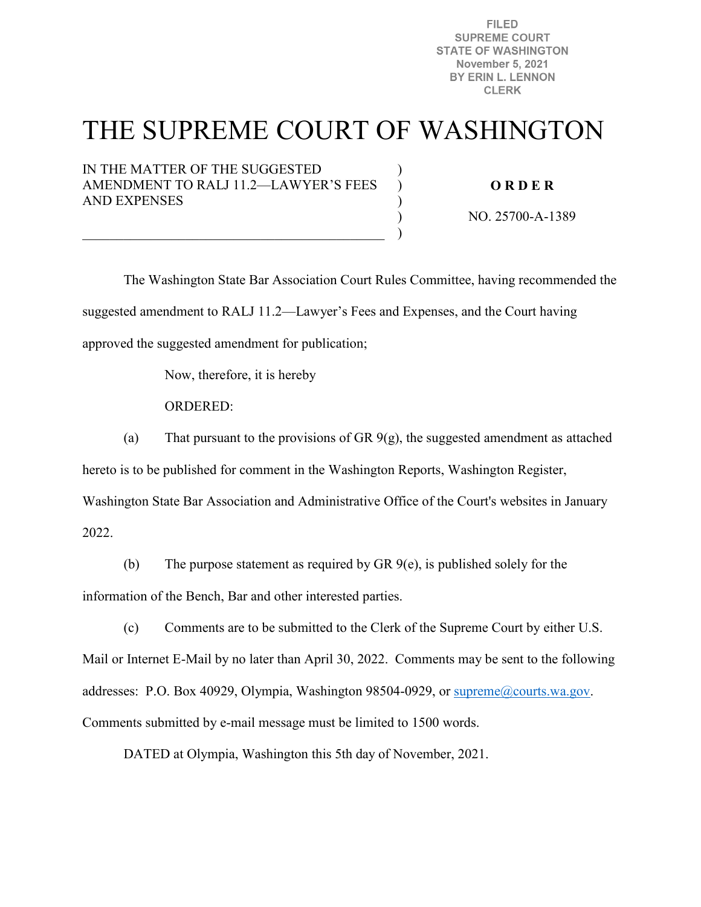**FILED SUPREME COURT STATE OF WASHINGTON November 5, 2021** BY ERIN L. LENNON **CLERK** 

# THE SUPREME COURT OF WASHINGTON

) ) ) ) )

IN THE MATTER OF THE SUGGESTED AMENDMENT TO RALJ 11.2—LAWYER'S FEES AND EXPENSES

 $\overline{\mathcal{L}}$  , and the contribution of the contribution of  $\overline{\mathcal{L}}$ 

**O R D E R** 

NO. 25700-A-1389

The Washington State Bar Association Court Rules Committee, having recommended the suggested amendment to RALJ 11.2—Lawyer's Fees and Expenses, and the Court having approved the suggested amendment for publication;

Now, therefore, it is hereby

ORDERED:

(a) That pursuant to the provisions of GR  $9(g)$ , the suggested amendment as attached

hereto is to be published for comment in the Washington Reports, Washington Register,

Washington State Bar Association and Administrative Office of the Court's websites in January

2022.

(b) The purpose statement as required by GR 9(e), is published solely for the information of the Bench, Bar and other interested parties.

(c) Comments are to be submitted to the Clerk of the Supreme Court by either U.S. Mail or Internet E-Mail by no later than April 30, 2022. Comments may be sent to the following addresses: P.O. Box 40929, Olympia, Washington 98504-0929, or [supreme@courts.wa.gov.](mailto:supreme@courts.wa.gov) Comments submitted by e-mail message must be limited to 1500 words.

DATED at Olympia, Washington this 5th day of November, 2021.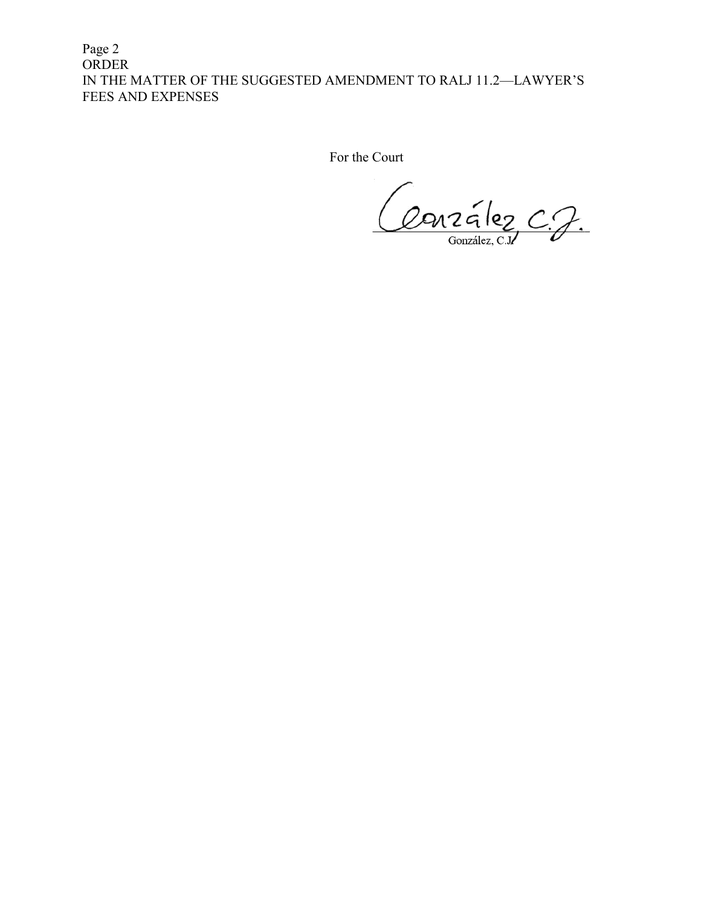Page 2 ORDER IN THE MATTER OF THE SUGGESTED AMENDMENT TO RALJ 11.2—LAWYER'S FEES AND EXPENSES

For the Court

Conzález C.J.